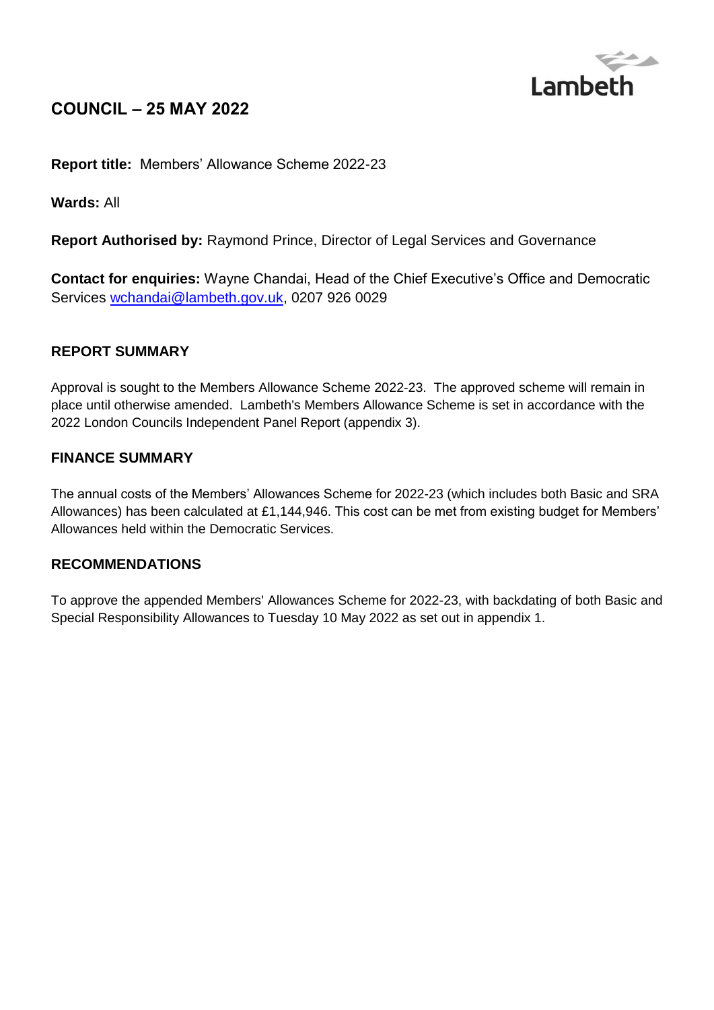

# **COUNCIL – 25 MAY 2022**

**Report title:** Members' Allowance Scheme 2022-23

**Wards:** All

**Report Authorised by:** Raymond Prince, Director of Legal Services and Governance

**Contact for enquiries:** Wayne Chandai, Head of the Chief Executive's Office and Democratic Services [wchandai@lambeth.gov.uk,](mailto:wchandai@lambeth.gov.uk) 0207 926 0029

#### **REPORT SUMMARY**

Approval is sought to the Members Allowance Scheme 2022-23. The approved scheme will remain in place until otherwise amended. Lambeth's Members Allowance Scheme is set in accordance with the 2022 London Councils Independent Panel Report (appendix 3).

#### **FINANCE SUMMARY**

The annual costs of the Members' Allowances Scheme for 2022-23 (which includes both Basic and SRA Allowances) has been calculated at £1,144,946. This cost can be met from existing budget for Members' Allowances held within the Democratic Services.

#### **RECOMMENDATIONS**

To approve the appended Members' Allowances Scheme for 2022-23, with backdating of both Basic and Special Responsibility Allowances to Tuesday 10 May 2022 as set out in appendix 1.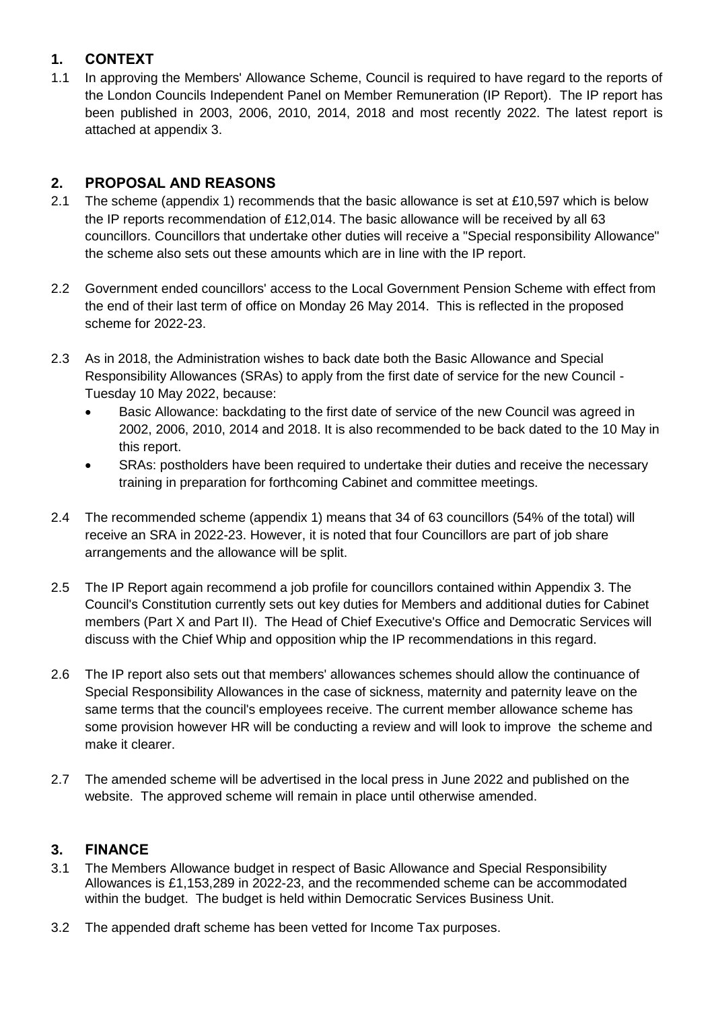## **1. CONTEXT**

1.1 In approving the Members' Allowance Scheme, Council is required to have regard to the reports of the London Councils Independent Panel on Member Remuneration (IP Report). The IP report has been published in 2003, 2006, 2010, 2014, 2018 and most recently 2022. The latest report is attached at appendix 3.

## **2. PROPOSAL AND REASONS**

- 2.1 The scheme (appendix 1) recommends that the basic allowance is set at £10,597 which is below the IP reports recommendation of £12,014. The basic allowance will be received by all 63 councillors. Councillors that undertake other duties will receive a "Special responsibility Allowance" the scheme also sets out these amounts which are in line with the IP report.
- 2.2 Government ended councillors' access to the Local Government Pension Scheme with effect from the end of their last term of office on Monday 26 May 2014. This is reflected in the proposed scheme for 2022-23.
- 2.3 As in 2018, the Administration wishes to back date both the Basic Allowance and Special Responsibility Allowances (SRAs) to apply from the first date of service for the new Council - Tuesday 10 May 2022, because:
	- Basic Allowance: backdating to the first date of service of the new Council was agreed in 2002, 2006, 2010, 2014 and 2018. It is also recommended to be back dated to the 10 May in this report.
	- SRAs: postholders have been required to undertake their duties and receive the necessary training in preparation for forthcoming Cabinet and committee meetings.
- 2.4 The recommended scheme (appendix 1) means that 34 of 63 councillors (54% of the total) will receive an SRA in 2022-23. However, it is noted that four Councillors are part of job share arrangements and the allowance will be split.
- 2.5 The IP Report again recommend a job profile for councillors contained within Appendix 3. The Council's Constitution currently sets out key duties for Members and additional duties for Cabinet members (Part X and Part II). The Head of Chief Executive's Office and Democratic Services will discuss with the Chief Whip and opposition whip the IP recommendations in this regard.
- 2.6 The IP report also sets out that members' allowances schemes should allow the continuance of Special Responsibility Allowances in the case of sickness, maternity and paternity leave on the same terms that the council's employees receive. The current member allowance scheme has some provision however HR will be conducting a review and will look to improve the scheme and make it clearer.
- 2.7 The amended scheme will be advertised in the local press in June 2022 and published on the website. The approved scheme will remain in place until otherwise amended.

## **3. FINANCE**

- 3.1 The Members Allowance budget in respect of Basic Allowance and Special Responsibility Allowances is £1,153,289 in 2022-23, and the recommended scheme can be accommodated within the budget. The budget is held within Democratic Services Business Unit.
- 3.2 The appended draft scheme has been vetted for Income Tax purposes.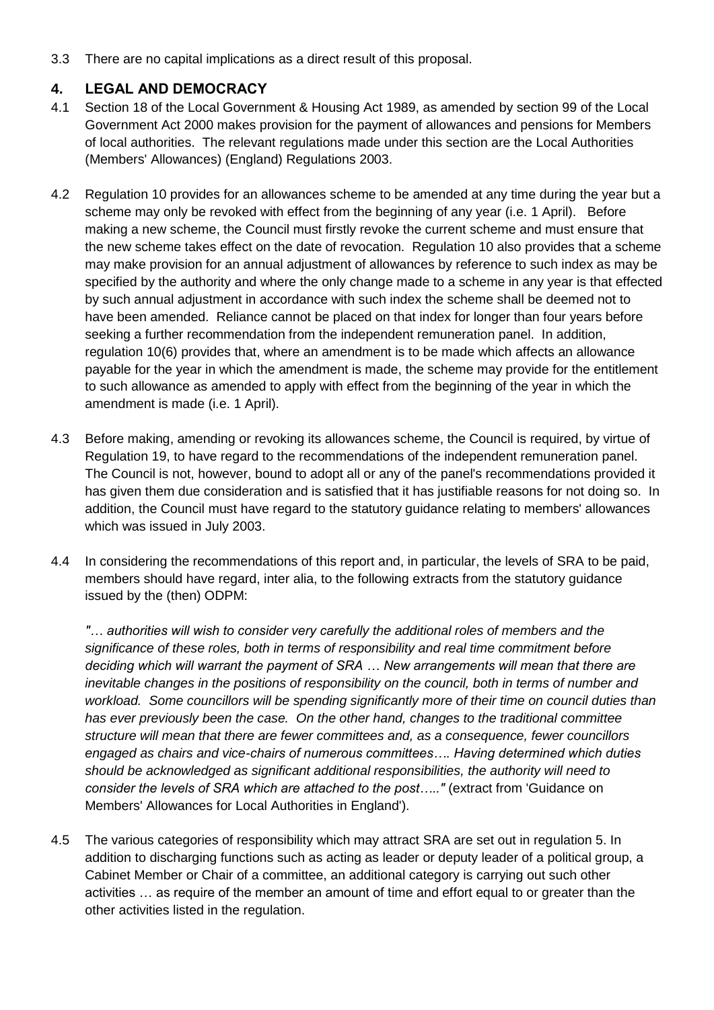3.3 There are no capital implications as a direct result of this proposal.

#### **4. LEGAL AND DEMOCRACY**

- 4.1 Section 18 of the Local Government & Housing Act 1989, as amended by section 99 of the Local Government Act 2000 makes provision for the payment of allowances and pensions for Members of local authorities. The relevant regulations made under this section are the Local Authorities (Members' Allowances) (England) Regulations 2003.
- 4.2 Regulation 10 provides for an allowances scheme to be amended at any time during the year but a scheme may only be revoked with effect from the beginning of any year (i.e. 1 April). Before making a new scheme, the Council must firstly revoke the current scheme and must ensure that the new scheme takes effect on the date of revocation. Regulation 10 also provides that a scheme may make provision for an annual adjustment of allowances by reference to such index as may be specified by the authority and where the only change made to a scheme in any year is that effected by such annual adjustment in accordance with such index the scheme shall be deemed not to have been amended. Reliance cannot be placed on that index for longer than four years before seeking a further recommendation from the independent remuneration panel. In addition, regulation 10(6) provides that, where an amendment is to be made which affects an allowance payable for the year in which the amendment is made, the scheme may provide for the entitlement to such allowance as amended to apply with effect from the beginning of the year in which the amendment is made (i.e. 1 April).
- 4.3 Before making, amending or revoking its allowances scheme, the Council is required, by virtue of Regulation 19, to have regard to the recommendations of the independent remuneration panel. The Council is not, however, bound to adopt all or any of the panel's recommendations provided it has given them due consideration and is satisfied that it has justifiable reasons for not doing so. In addition, the Council must have regard to the statutory guidance relating to members' allowances which was issued in July 2003.
- 4.4 In considering the recommendations of this report and, in particular, the levels of SRA to be paid, members should have regard, inter alia, to the following extracts from the statutory guidance issued by the (then) ODPM:

*"… authorities will wish to consider very carefully the additional roles of members and the significance of these roles, both in terms of responsibility and real time commitment before deciding which will warrant the payment of SRA … New arrangements will mean that there are inevitable changes in the positions of responsibility on the council, both in terms of number and workload. Some councillors will be spending significantly more of their time on council duties than has ever previously been the case. On the other hand, changes to the traditional committee structure will mean that there are fewer committees and, as a consequence, fewer councillors engaged as chairs and vice-chairs of numerous committees…. Having determined which duties should be acknowledged as significant additional responsibilities, the authority will need to consider the levels of SRA which are attached to the post….."* (extract from 'Guidance on Members' Allowances for Local Authorities in England').

4.5 The various categories of responsibility which may attract SRA are set out in regulation 5. In addition to discharging functions such as acting as leader or deputy leader of a political group, a Cabinet Member or Chair of a committee, an additional category is carrying out such other activities … as require of the member an amount of time and effort equal to or greater than the other activities listed in the regulation.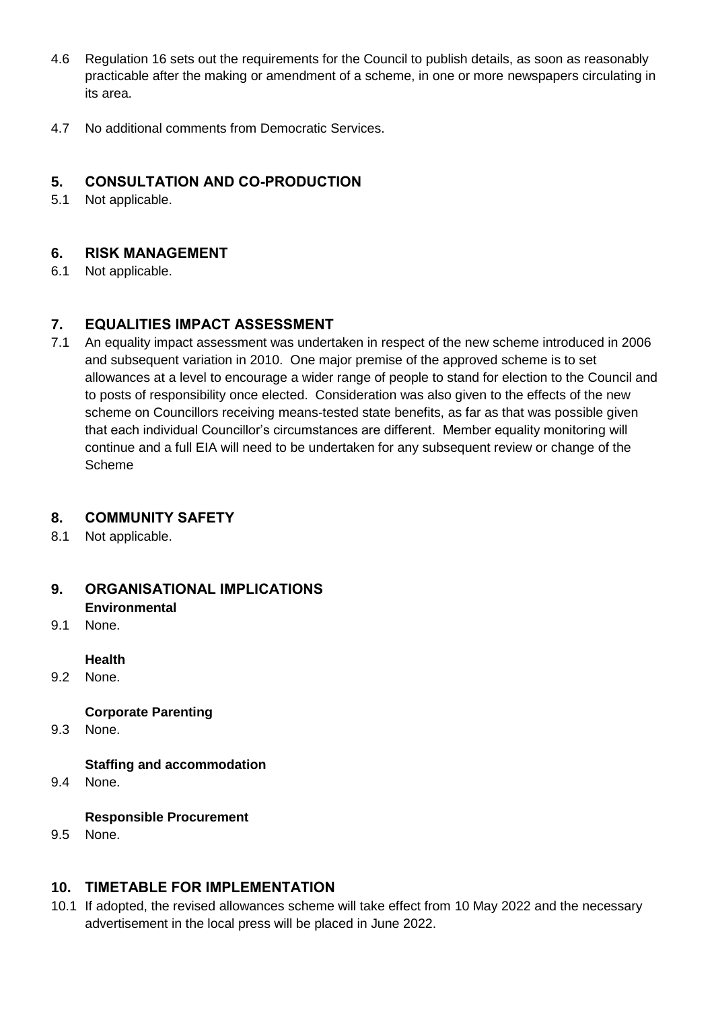- 4.6 Regulation 16 sets out the requirements for the Council to publish details, as soon as reasonably practicable after the making or amendment of a scheme, in one or more newspapers circulating in its area.
- 4.7 No additional comments from Democratic Services.

## **5. CONSULTATION AND CO-PRODUCTION**

5.1 Not applicable.

## **6. RISK MANAGEMENT**

6.1 Not applicable.

## **7. EQUALITIES IMPACT ASSESSMENT**

7.1 An equality impact assessment was undertaken in respect of the new scheme introduced in 2006 and subsequent variation in 2010. One major premise of the approved scheme is to set allowances at a level to encourage a wider range of people to stand for election to the Council and to posts of responsibility once elected. Consideration was also given to the effects of the new scheme on Councillors receiving means-tested state benefits, as far as that was possible given that each individual Councillor's circumstances are different. Member equality monitoring will continue and a full EIA will need to be undertaken for any subsequent review or change of the Scheme

## **8. COMMUNITY SAFETY**

8.1 Not applicable.

## **9. ORGANISATIONAL IMPLICATIONS**

- **Environmental**
- 9.1 None.

#### **Health**

9.2 None.

## **Corporate Parenting**

9.3 None.

## **Staffing and accommodation**

9.4 None.

## **Responsible Procurement**

9.5 None.

## **10. TIMETABLE FOR IMPLEMENTATION**

10.1 If adopted, the revised allowances scheme will take effect from 10 May 2022 and the necessary advertisement in the local press will be placed in June 2022.